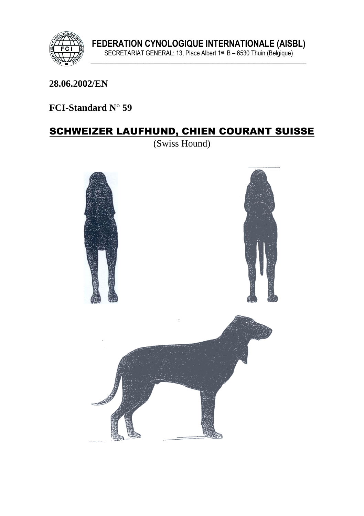

#### 28.06.2002/EN

## FCI-Standard N° 59

## **SCHWEIZER LAUFHUND, CHIEN COURANT SUISSE**

(Swiss Hound)

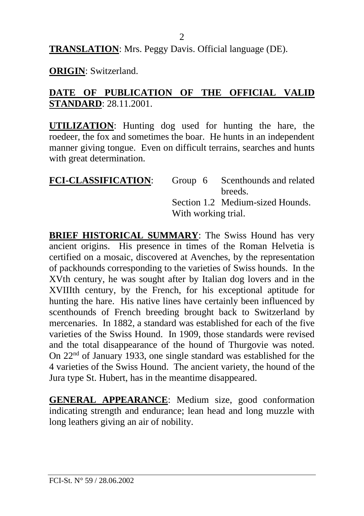**TRANSLATION**: Mrs. Peggy Davis. Official language (DE).

**ORIGIN**: Switzerland.

#### **DATE OF PUBLICATION OF THE OFFICIAL VALID STANDARD**: 28.11.2001.

**UTILIZATION**: Hunting dog used for hunting the hare, the roedeer, the fox and sometimes the boar. He hunts in an independent manner giving tongue. Even on difficult terrains, searches and hunts with great determination.

| <b>FCI-CLASSIFICATION:</b> |                     | Group 6 Scenthounds and related  |
|----------------------------|---------------------|----------------------------------|
|                            |                     | breeds.                          |
|                            |                     | Section 1.2 Medium-sized Hounds. |
|                            | With working trial. |                                  |

**BRIEF HISTORICAL SUMMARY:** The Swiss Hound has very ancient origins. His presence in times of the Roman Helvetia is certified on a mosaic, discovered at Avenches, by the representation of packhounds corresponding to the varieties of Swiss hounds. In the XVth century, he was sought after by Italian dog lovers and in the XVIIIth century, by the French, for his exceptional aptitude for hunting the hare. His native lines have certainly been influenced by scenthounds of French breeding brought back to Switzerland by mercenaries. In 1882, a standard was established for each of the five varieties of the Swiss Hound. In 1909, those standards were revised and the total disappearance of the hound of Thurgovie was noted. On 22nd of January 1933, one single standard was established for the 4 varieties of the Swiss Hound. The ancient variety, the hound of the Jura type St. Hubert, has in the meantime disappeared.

**GENERAL APPEARANCE**: Medium size, good conformation indicating strength and endurance; lean head and long muzzle with long leathers giving an air of nobility.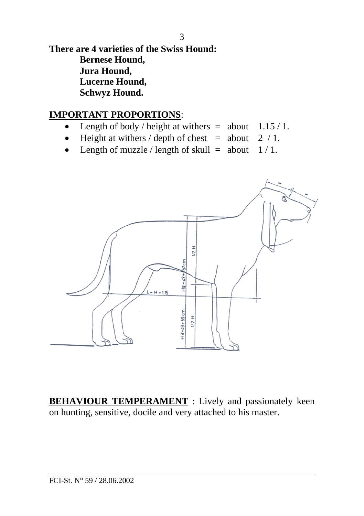**There are 4 varieties of the Swiss Hound: Bernese Hound, Jura Hound, Lucerne Hound, Schwyz Hound.**

### **IMPORTANT PROPORTIONS**:

- Length of body / height at withers  $=$  about  $1.15 / 1$ .
- Height at withers / depth of chest = about  $2 / 1$ .
- Length of muzzle / length of skull = about  $1/1$ .



**BEHAVIOUR TEMPERAMENT** : Lively and passionately keen on hunting, sensitive, docile and very attached to his master.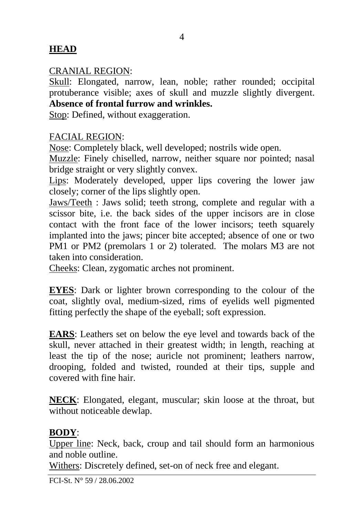## **HEAD**

### CRANIAL REGION:

Skull: Elongated, narrow, lean, noble; rather rounded; occipital protuberance visible; axes of skull and muzzle slightly divergent. **Absence of frontal furrow and wrinkles.**

Stop: Defined, without exaggeration.

### FACIAL REGION:

Nose: Completely black, well developed; nostrils wide open.

Muzzle: Finely chiselled, narrow, neither square nor pointed; nasal bridge straight or very slightly convex.

Lips: Moderately developed, upper lips covering the lower jaw closely; corner of the lips slightly open.

Jaws/Teeth : Jaws solid; teeth strong, complete and regular with a scissor bite, i.e. the back sides of the upper incisors are in close contact with the front face of the lower incisors; teeth squarely implanted into the jaws; pincer bite accepted; absence of one or two PM1 or PM2 (premolars 1 or 2) tolerated. The molars M3 are not taken into consideration.

Cheeks: Clean, zygomatic arches not prominent.

**EYES**: Dark or lighter brown corresponding to the colour of the coat, slightly oval, medium-sized, rims of eyelids well pigmented fitting perfectly the shape of the eyeball; soft expression.

**EARS**: Leathers set on below the eye level and towards back of the skull, never attached in their greatest width; in length, reaching at least the tip of the nose; auricle not prominent; leathers narrow, drooping, folded and twisted, rounded at their tips, supple and covered with fine hair.

**NECK**: Elongated, elegant, muscular; skin loose at the throat, but without noticeable dewlap.

### **BODY**:

Upper line: Neck, back, croup and tail should form an harmonious and noble outline.

Withers: Discretely defined, set-on of neck free and elegant.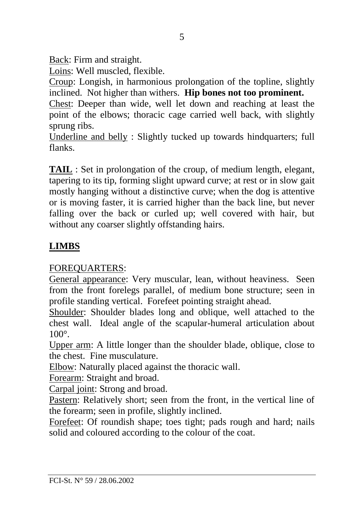Back: Firm and straight.

Loins: Well muscled, flexible.

Croup: Longish, in harmonious prolongation of the topline, slightly inclined. Not higher than withers. **Hip bones not too prominent.**

Chest: Deeper than wide, well let down and reaching at least the point of the elbows; thoracic cage carried well back, with slightly sprung ribs.

Underline and belly : Slightly tucked up towards hindquarters; full flanks.

**TAIL** : Set in prolongation of the croup, of medium length, elegant, tapering to its tip, forming slight upward curve; at rest or in slow gait mostly hanging without a distinctive curve; when the dog is attentive or is moving faster, it is carried higher than the back line, but never falling over the back or curled up; well covered with hair, but without any coarser slightly offstanding hairs.

# **LIMBS**

FOREQUARTERS:

General appearance: Very muscular, lean, without heaviness. Seen from the front forelegs parallel, of medium bone structure; seen in profile standing vertical. Forefeet pointing straight ahead.

Shoulder: Shoulder blades long and oblique, well attached to the chest wall. Ideal angle of the scapular-humeral articulation about  $100^\circ$ 

Upper arm: A little longer than the shoulder blade, oblique, close to the chest. Fine musculature.

Elbow: Naturally placed against the thoracic wall.

Forearm: Straight and broad.

Carpal joint: Strong and broad.

Pastern: Relatively short; seen from the front, in the vertical line of the forearm; seen in profile, slightly inclined.

Forefeet: Of roundish shape; toes tight; pads rough and hard; nails solid and coloured according to the colour of the coat.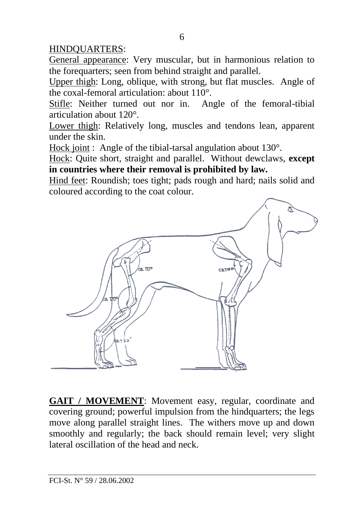### HINDQUARTERS:

General appearance: Very muscular, but in harmonious relation to the forequarters; seen from behind straight and parallel.

Upper thigh: Long, oblique, with strong, but flat muscles. Angle of the coxal-femoral articulation: about 110°.

Stifle: Neither turned out nor in. Angle of the femoral-tibial articulation about 120°.

Lower thigh: Relatively long, muscles and tendons lean, apparent under the skin.

Hock joint : Angle of the tibial-tarsal angulation about 130°.

Hock: Quite short, straight and parallel. Without dewclaws, **except in countries where their removal is prohibited by law.**

Hind feet: Roundish; toes tight; pads rough and hard; nails solid and coloured according to the coat colour.



**GAIT / MOVEMENT**: Movement easy, regular, coordinate and covering ground; powerful impulsion from the hindquarters; the legs move along parallel straight lines. The withers move up and down smoothly and regularly; the back should remain level; very slight lateral oscillation of the head and neck.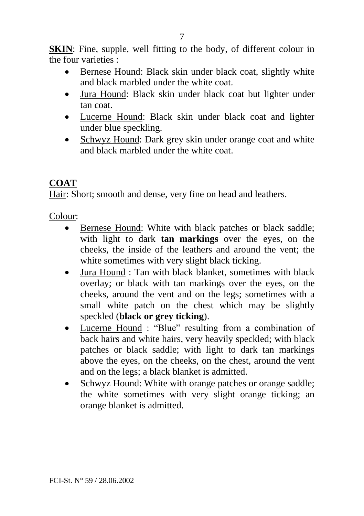**SKIN**: Fine, supple, well fitting to the body, of different colour in the four varieties :

- Bernese Hound: Black skin under black coat, slightly white and black marbled under the white coat.
- Jura Hound: Black skin under black coat but lighter under tan coat.
- Lucerne Hound: Black skin under black coat and lighter under blue speckling.
- Schwyz Hound: Dark grey skin under orange coat and white and black marbled under the white coat.

# **COAT**

Hair: Short; smooth and dense, very fine on head and leathers.

Colour:

- Bernese Hound: White with black patches or black saddle: with light to dark **tan markings** over the eyes, on the cheeks, the inside of the leathers and around the vent; the white sometimes with very slight black ticking.
- Jura Hound : Tan with black blanket, sometimes with black overlay; or black with tan markings over the eyes, on the cheeks, around the vent and on the legs; sometimes with a small white patch on the chest which may be slightly speckled (**black or grey ticking**).
- Lucerne Hound : "Blue" resulting from a combination of back hairs and white hairs, very heavily speckled; with black patches or black saddle; with light to dark tan markings above the eyes, on the cheeks, on the chest, around the vent and on the legs; a black blanket is admitted.
- Schwyz Hound: White with orange patches or orange saddle; the white sometimes with very slight orange ticking; an orange blanket is admitted.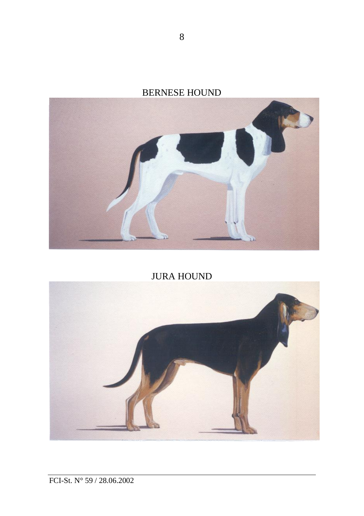



JURA HOUND

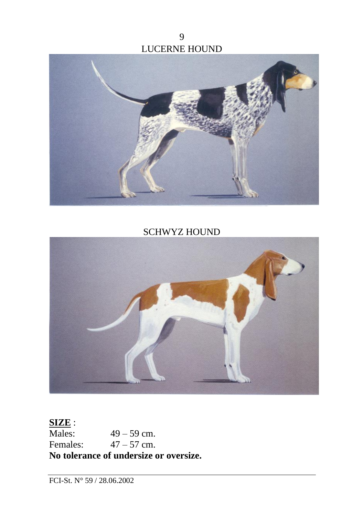9 LUCERNE HOUND



SCHWYZ HOUND



### **SIZE** :<br>Males:  $49 - 59$  cm. Females:  $47 - 57$  cm. **No tolerance of undersize or oversize.**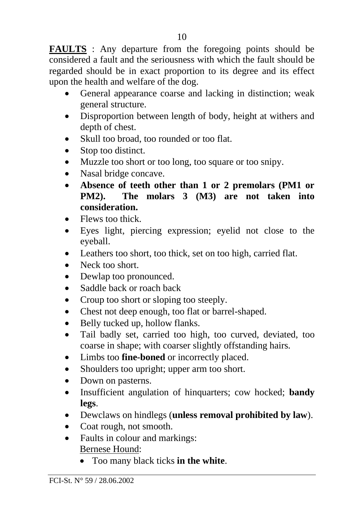**FAULTS** : Any departure from the foregoing points should be considered a fault and the seriousness with which the fault should be regarded should be in exact proportion to its degree and its effect upon the health and welfare of the dog.

- General appearance coarse and lacking in distinction; weak general structure.
- Disproportion between length of body, height at withers and depth of chest.
- Skull too broad, too rounded or too flat.
- Stop too distinct.
- Muzzle too short or too long, too square or too snipy.
- Nasal bridge concave.
- **Absence of teeth other than 1 or 2 premolars (PM1 or PM2). The molars 3 (M3) are not taken into consideration.**
- Flews too thick.
- Eyes light, piercing expression; eyelid not close to the eyeball.
- Leathers too short, too thick, set on too high, carried flat.
- Neck too short.
- Dewlap too pronounced.
- Saddle back or roach back
- Croup too short or sloping too steeply.
- Chest not deep enough, too flat or barrel-shaped.
- Belly tucked up, hollow flanks.
- Tail badly set, carried too high, too curved, deviated, too coarse in shape; with coarser slightly offstanding hairs.
- Limbs too **fine-boned** or incorrectly placed.
- Shoulders too upright; upper arm too short.
- Down on pasterns.
- Insufficient angulation of hinquarters; cow hocked; **bandy legs**.
- Dewclaws on hindlegs (**unless removal prohibited by law**).
- Coat rough, not smooth.
- Faults in colour and markings: Bernese Hound:
	- Too many black ticks **in the white**.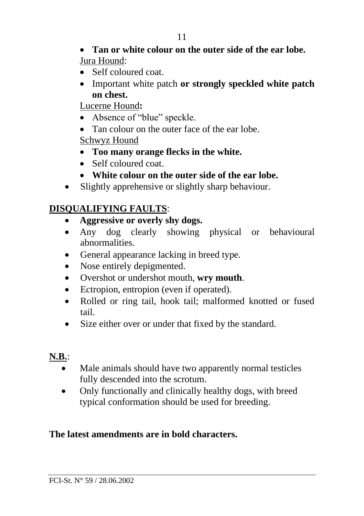#### • **Tan or white colour on the outer side of the ear lobe.** Jura Hound:

- Self coloured coat.
- Important white patch **or strongly speckled white patch on chest.**

Lucerne Hound**:**

- Absence of "blue" speckle.
- Tan colour on the outer face of the ear lobe.

Schwyz Hound

- **Too many orange flecks in the white.**
- Self coloured coat.
- **White colour on the outer side of the ear lobe.**
- Slightly apprehensive or slightly sharp behaviour.

## **DISQUALIFYING FAULTS**:

- **Aggressive or overly shy dogs.**
- Any dog clearly showing physical or behavioural abnormalities.
- General appearance lacking in breed type.
- Nose entirely depigmented.
- Overshot or undershot mouth, **wry mouth**.
- Ectropion, entropion (even if operated).
- Rolled or ring tail, hook tail; malformed knotted or fused tail.
- Size either over or under that fixed by the standard.

# **N.B.**:

- Male animals should have two apparently normal testicles fully descended into the scrotum.
- Only functionally and clinically healthy dogs, with breed typical conformation should be used for breeding.

## **The latest amendments are in bold characters.**